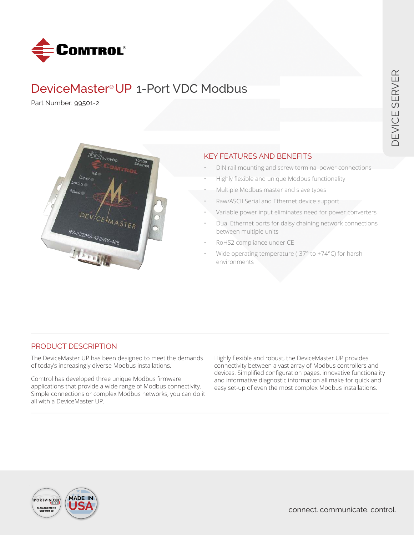

# DeviceMaster® UP 1-Port VDC Modbus

Part Number: 99501-2



# KEY FEATURES AND BENEFITS

- DIN rail mounting and screw terminal power connections
- Highly flexible and unique Modbus functionality
- Multiple Modbus master and slave types
- Raw/ASCII Serial and Ethernet device support
- Variable power input eliminates need for power converters
- Dual Ethernet ports for daisy chaining network connections between multiple units
- RoHS2 compliance under CE
- Wide operating temperature (-37 $\degree$  to +74 $\degree$ C) for harsh environments

## PRODUCT DESCRIPTION

The DeviceMaster UP has been designed to meet the demands of today's increasingly diverse Modbus installations.

Comtrol has developed three unique Modbus firmware applications that provide a wide range of Modbus connectivity. Simple connections or complex Modbus networks, you can do it all with a DeviceMaster UP.

Highly flexible and robust, the DeviceMaster UP provides connectivity between a vast array of Modbus controllers and devices. Simplified configuration pages, innovative functionality and informative diagnostic information all make for quick and easy set-up of even the most complex Modbus installations.